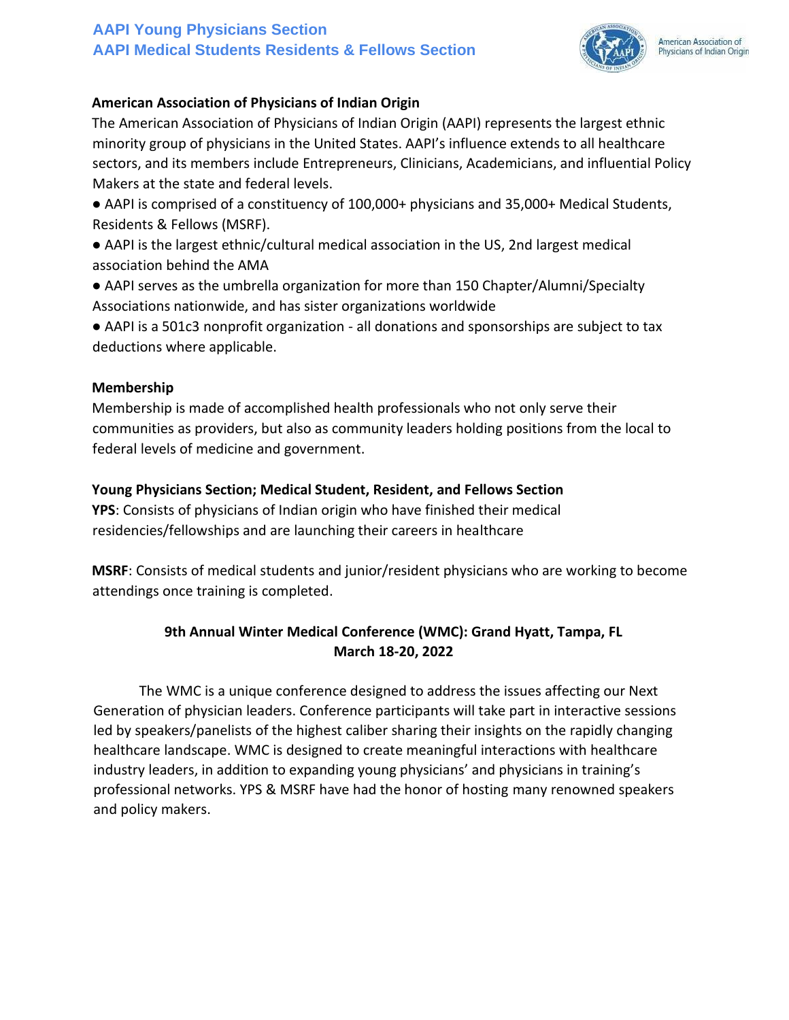# **AAPI Young Physicians Section AAPI Medical Students Residents & Fellows Section**



American Association of Physicians of Indian Origin

### **American Association of Physicians of Indian Origin**

The American Association of Physicians of Indian Origin (AAPI) represents the largest ethnic minority group of physicians in the United States. AAPI's influence extends to all healthcare sectors, and its members include Entrepreneurs, Clinicians, Academicians, and influential Policy Makers at the state and federal levels.

● AAPI is comprised of a constituency of 100,000+ physicians and 35,000+ Medical Students, Residents & Fellows (MSRF).

● AAPI is the largest ethnic/cultural medical association in the US, 2nd largest medical association behind the AMA

● AAPI serves as the umbrella organization for more than 150 Chapter/Alumni/Specialty Associations nationwide, and has sister organizations worldwide

● AAPI is a 501c3 nonprofit organization - all donations and sponsorships are subject to tax deductions where applicable.

### **Membership**

Membership is made of accomplished health professionals who not only serve their communities as providers, but also as community leaders holding positions from the local to federal levels of medicine and government.

### **Young Physicians Section; Medical Student, Resident, and Fellows Section**

**YPS**: Consists of physicians of Indian origin who have finished their medical residencies/fellowships and are launching their careers in healthcare

**MSRF**: Consists of medical students and junior/resident physicians who are working to become attendings once training is completed.

# **9th Annual Winter Medical Conference (WMC): Grand Hyatt, Tampa, FL March 18-20, 2022**

The WMC is a unique conference designed to address the issues affecting our Next Generation of physician leaders. Conference participants will take part in interactive sessions led by speakers/panelists of the highest caliber sharing their insights on the rapidly changing healthcare landscape. WMC is designed to create meaningful interactions with healthcare industry leaders, in addition to expanding young physicians' and physicians in training's professional networks. YPS & MSRF have had the honor of hosting many renowned speakers and policy makers.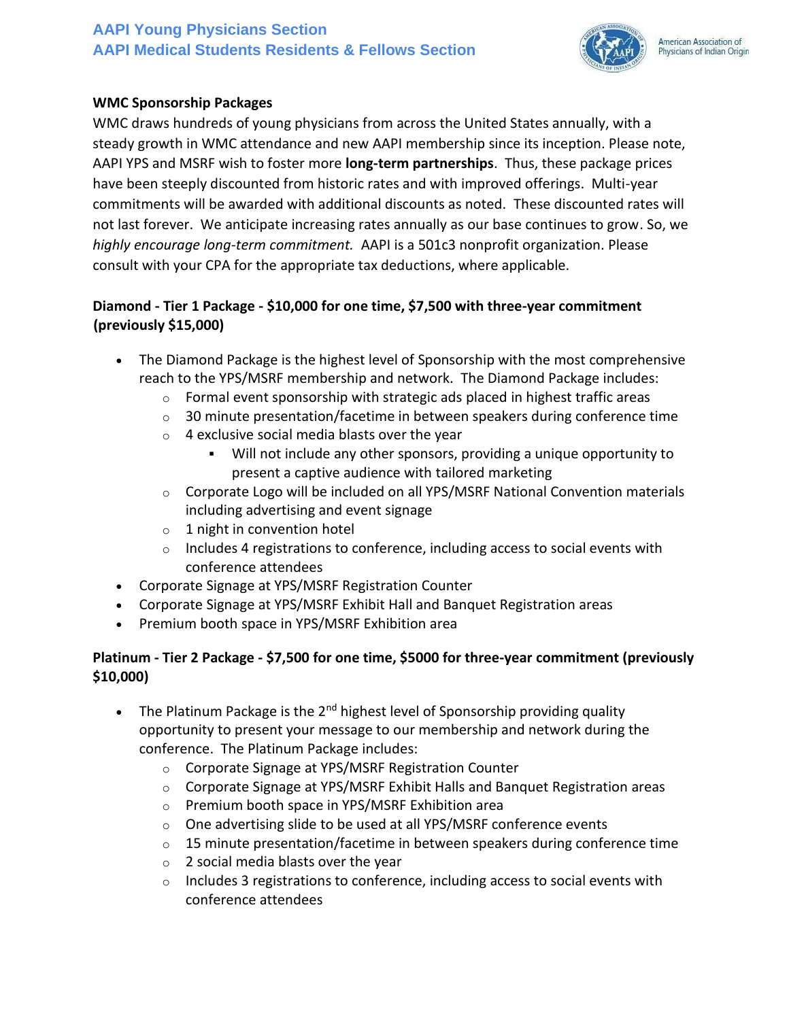# **AAPI Young Physicians Section AAPI Medical Students Residents & Fellows Section**



# **WMC Sponsorship Packages**

WMC draws hundreds of young physicians from across the United States annually, with a steady growth in WMC attendance and new AAPI membership since its inception. Please note, AAPI YPS and MSRF wish to foster more **long-term partnerships**. Thus, these package prices have been steeply discounted from historic rates and with improved offerings. Multi-year commitments will be awarded with additional discounts as noted. These discounted rates will not last forever. We anticipate increasing rates annually as our base continues to grow. So, we *highly encourage long-term commitment.* AAPI is a 501c3 nonprofit organization. Please consult with your CPA for the appropriate tax deductions, where applicable.

# **Diamond - Tier 1 Package - \$10,000 for one time, \$7,500 with three-year commitment (previously \$15,000)**

- The Diamond Package is the highest level of Sponsorship with the most comprehensive reach to the YPS/MSRF membership and network. The Diamond Package includes:
	- $\circ$  Formal event sponsorship with strategic ads placed in highest traffic areas
	- o 30 minute presentation/facetime in between speakers during conference time
	- $\circ$  4 exclusive social media blasts over the year
		- Will not include any other sponsors, providing a unique opportunity to present a captive audience with tailored marketing
	- $\circ$  Corporate Logo will be included on all YPS/MSRF National Convention materials including advertising and event signage
	- $\circ$  1 night in convention hotel
	- $\circ$  Includes 4 registrations to conference, including access to social events with conference attendees
- Corporate Signage at YPS/MSRF Registration Counter
- Corporate Signage at YPS/MSRF Exhibit Hall and Banquet Registration areas
- Premium booth space in YPS/MSRF Exhibition area

# **Platinum - Tier 2 Package - \$7,500 for one time, \$5000 for three-year commitment (previously \$10,000)**

- The Platinum Package is the  $2^{nd}$  highest level of Sponsorship providing quality opportunity to present your message to our membership and network during the conference. The Platinum Package includes:
	- o Corporate Signage at YPS/MSRF Registration Counter
	- o Corporate Signage at YPS/MSRF Exhibit Halls and Banquet Registration areas
	- o Premium booth space in YPS/MSRF Exhibition area
	- o One advertising slide to be used at all YPS/MSRF conference events
	- $\circ$  15 minute presentation/facetime in between speakers during conference time
	- o 2 social media blasts over the year
	- $\circ$  Includes 3 registrations to conference, including access to social events with conference attendees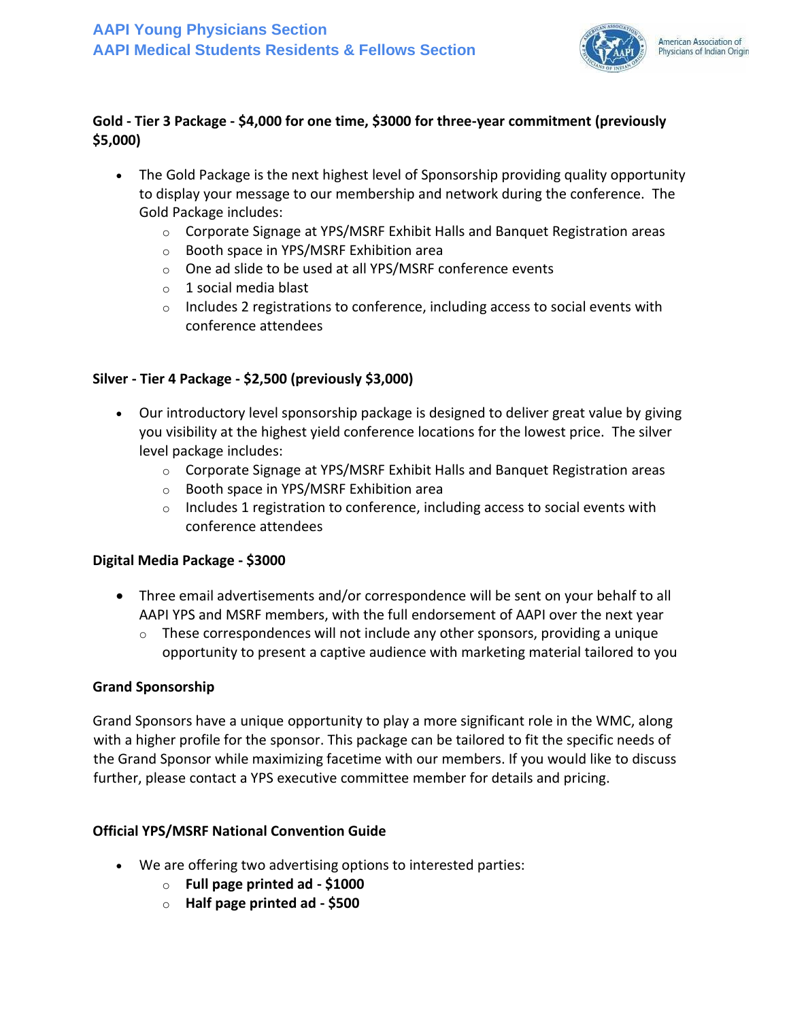

### **Gold - Tier 3 Package - \$4,000 for one time, \$3000 for three-year commitment (previously \$5,000)**

- The Gold Package is the next highest level of Sponsorship providing quality opportunity to display your message to our membership and network during the conference. The Gold Package includes:
	- $\circ$  Corporate Signage at YPS/MSRF Exhibit Halls and Banquet Registration areas
	- o Booth space in YPS/MSRF Exhibition area
	- o One ad slide to be used at all YPS/MSRF conference events
	- o 1 social media blast
	- $\circ$  Includes 2 registrations to conference, including access to social events with conference attendees

### **Silver - Tier 4 Package - \$2,500 (previously \$3,000)**

- Our introductory level sponsorship package is designed to deliver great value by giving you visibility at the highest yield conference locations for the lowest price. The silver level package includes:
	- $\circ$  Corporate Signage at YPS/MSRF Exhibit Halls and Banquet Registration areas
	- o Booth space in YPS/MSRF Exhibition area
	- $\circ$  Includes 1 registration to conference, including access to social events with conference attendees

#### **Digital Media Package - \$3000**

- Three email advertisements and/or correspondence will be sent on your behalf to all AAPI YPS and MSRF members, with the full endorsement of AAPI over the next year
	- $\circ$  These correspondences will not include any other sponsors, providing a unique opportunity to present a captive audience with marketing material tailored to you

#### **Grand Sponsorship**

Grand Sponsors have a unique opportunity to play a more significant role in the WMC, along with a higher profile for the sponsor. This package can be tailored to fit the specific needs of the Grand Sponsor while maximizing facetime with our members. If you would like to discuss further, please contact a YPS executive committee member for details and pricing.

#### **Official YPS/MSRF National Convention Guide**

- We are offering two advertising options to interested parties:
	- o **Full page printed ad - \$1000**
	- o **Half page printed ad - \$500**